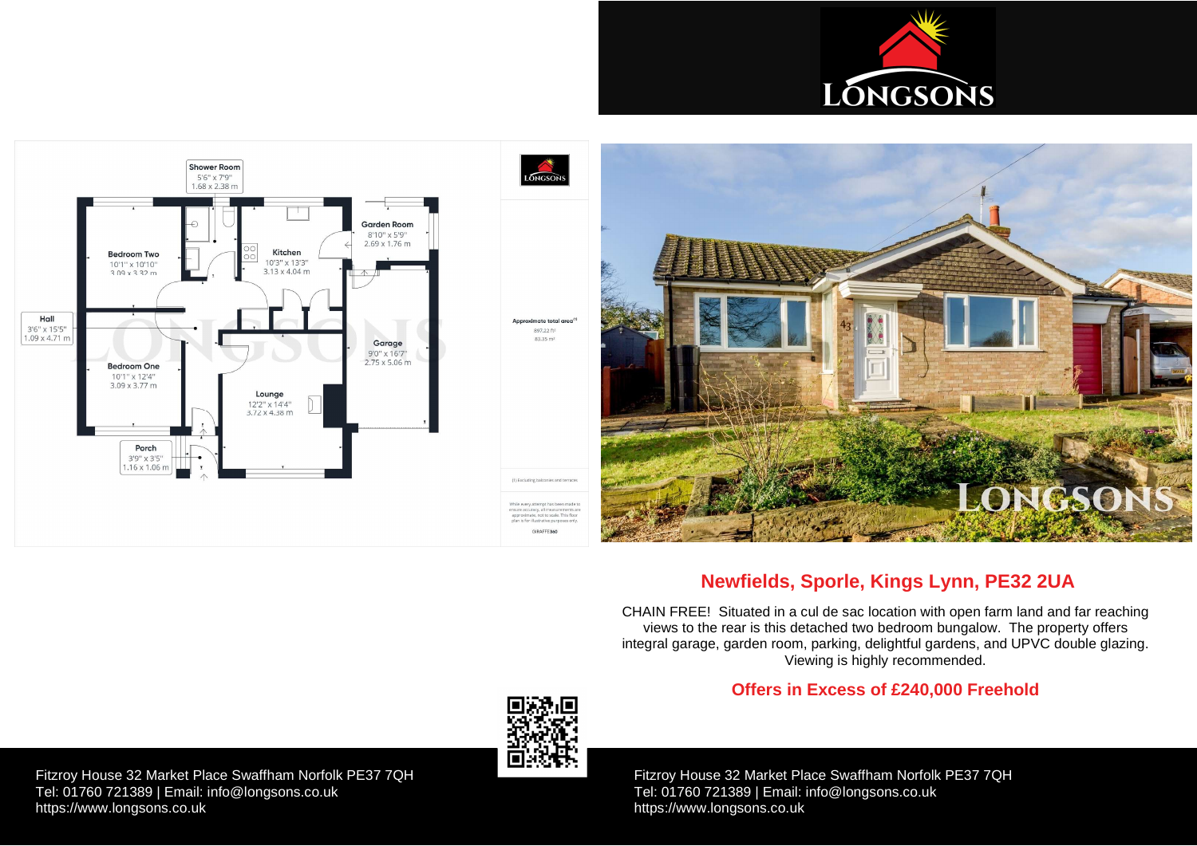Fitzroy House 32 Market Place Swaffham Norfolk PE37 7QH Tel: 01760 721389 | Email: [info@longsons.co.uk](mailto:info@longsons.co.uk) <https://www.longsons.co.uk>

Fitzroy House 32 Market Place Swaffham Norfolk PE37 7QH Tel: 01760 721389 | Email: [info@longsons.co.uk](mailto:info@longsons.co.uk) <https://www.longsons.co.uk>





# **Newfields, Sporle, Kings Lynn, PE32 2UA**

CHAIN FREE! Situated in a cul de sac location with open farm land and far reaching views to the rear is this detached two bedroom bungalow. The property offers integral garage, garden room, parking, delightful gardens, and UPVC double glazing. Viewing is highly recommended.

# **Offers in Excess of £240,000 Freehold**